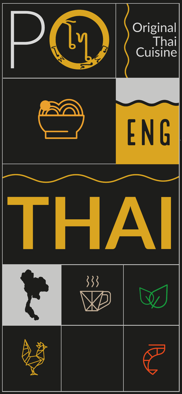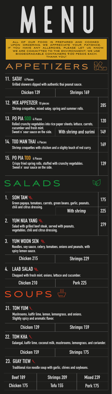# APPETIZErs

| . SOM TAM<br>Green papaya, tomatoes, carrots, green beans, garlic, peanuts,                                      |                    |     |  |  |
|------------------------------------------------------------------------------------------------------------------|--------------------|-----|--|--|
| chili and citrus dressing.                                                                                       | <b>With shrimp</b> | 225 |  |  |
| 2. YUM NUA YANG<br>Salad with grilled beef steak, served with peanuts,<br>vegetables, chili and citrus dressing. |                    |     |  |  |
| 3. YUM WOON SEN<br>Noodles, soy sauce, celery, tomatoes, onions and peanuts, with<br>spicy lemon sauce.          |                    |     |  |  |
| <b>Chicken 215</b>                                                                                               | <b>Shrimps 229</b> |     |  |  |
| 4. LAAB SALAD<br>Chopped with fresh mint, onions, lettuce and cucumber.                                          |                    |     |  |  |
| <b>Chicken 210</b><br><b>Pork 225</b>                                                                            |                    |     |  |  |
| SOUPS                                                                                                            |                    |     |  |  |

| 12. MIX APPETIZER 10 pieces<br>Shrimp croquettes, mixed satay, spring and summer rolls.                                    |                        | 285 |
|----------------------------------------------------------------------------------------------------------------------------|------------------------|-----|
| 13. PO PIA SOD 4 Pieces<br>Rolled crunchy vegetables into rice paper sheets; lettuce, carrots,<br>cucumber and fresh mint. |                        | 120 |
| Sweet n' sour sauce on the side.                                                                                           | With shrimp and surimi | 149 |
| 14. TOD MAN THAI 4 Pieces<br>Shrimp croquettes with chicken and a slighty touch of red curry.                              |                        |     |
| 15. PO PIA TOD 4 Pieces<br>Crispy fried spring rolls, stuffed with crunchy vegetables.<br>Sweet n' sour sauce on the side. |                        | 139 |
| SALADS                                                                                                                     |                        |     |

#### **21. TOM YUM**

| Chicken 139 | Shrimps 159 |
|-------------|-------------|
|             |             |

**Mushrooms, kaffir lime, lemon, lemongrass, and onions. Slightly spicy and aromatic flavor.**

#### **22. TOM KHA**

**Galangal, kaffir lime, coconut milk, mushrooms, lemongrass, and coriander.**

# MENU

| <b>Chicken 159</b> | <b>Shrimps 175</b> |
|--------------------|--------------------|
|--------------------|--------------------|

| <b>Beef 189</b> | <b>Shrimps 209</b> | Mixed 239       |
|-----------------|--------------------|-----------------|
| Chicken 175     | <b>Tofu 155</b>    | <b>Pork 175</b> |

#### **23. GUAY TIEW**

**Traditional rice noodle soup with garlic, chives and soybeans.**

**11. SATAY 4 Pieces**

**Grilled skewers dipped with authentic thai peanut sauce.**

Chicken 139 Shrimps 169

all of our food is prepared and cooked upon ordering. we appreciate your patience. If you have any allergies, please let us know. WE ARE COMMITTED TO THE ENVIRONMENT; WE USE biodegradable containers 9.00 pesos each. thank you!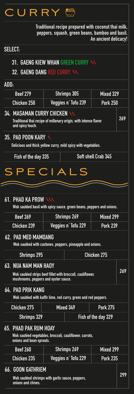

| <b>Beef 279</b>    | Shrimps 305         | Mixed 329       |
|--------------------|---------------------|-----------------|
| <b>Chicken 250</b> | Veggies n' Tofu 239 | <b>Pork 250</b> |

#### **ADD:**

**Wok sautéed basil with spicy sauce, green beans, peppers and onions.**

#### **66. GOON GATHRIEM**

**Wok sautéed shrimps with garlic sauce, peppers, onions and chives.**



**299**

**Traditional recipe prepared with coconut thai milk, peppers, squash, green beans, bamboo and basil. An ancient delicacy!**

### **31. GAENG KIEW WHAN GREEN CURRY 32. GAENG DANG RED CURRY**

#### **SELECT:**

| <b>Beef 269</b>                                                                                                                     | <b>Shrimps 269</b>                                                                   |  | <b>Mixed 299</b> |  |
|-------------------------------------------------------------------------------------------------------------------------------------|--------------------------------------------------------------------------------------|--|------------------|--|
| <b>Chicken 239</b>                                                                                                                  | Veggies n' Tofu 229                                                                  |  | <b>Pork 239</b>  |  |
|                                                                                                                                     | 62. PAD MED MAMOANG<br>Wok sautéed with cashews, peppers, pineapple and onions.      |  |                  |  |
| <b>Shrimps 295</b><br><b>Chicken 275</b>                                                                                            |                                                                                      |  |                  |  |
| <b>NUA NAM MAN HAOY</b><br>63<br>Wok sautéed strips beef fillet with broccoli, cauliflower,<br>mushrooms, peppers and oyster sauce. |                                                                                      |  | 269              |  |
|                                                                                                                                     | 64. PAD PRIK KANG<br>Wok sautéed with kaffir lime, red curry, green and red peppers. |  |                  |  |
| <b>Pork 275</b><br><b>Chicken 275</b><br>Mixed 349                                                                                  |                                                                                      |  |                  |  |
| <b>Shrimps 329</b><br>Fish of the day 329                                                                                           |                                                                                      |  |                  |  |

#### **65. PHAD PAK RUM HOAY**

**Wok sautéed vegetables, broccoli, cauliflower, carrots, onions and bean sprouts.** 

| <b>Beef 260</b>    | Shrimps 269         | Mixed 299       |
|--------------------|---------------------|-----------------|
| <b>Chicken 235</b> | Veggies n' Tofu 229 | <b>Pork 235</b> |